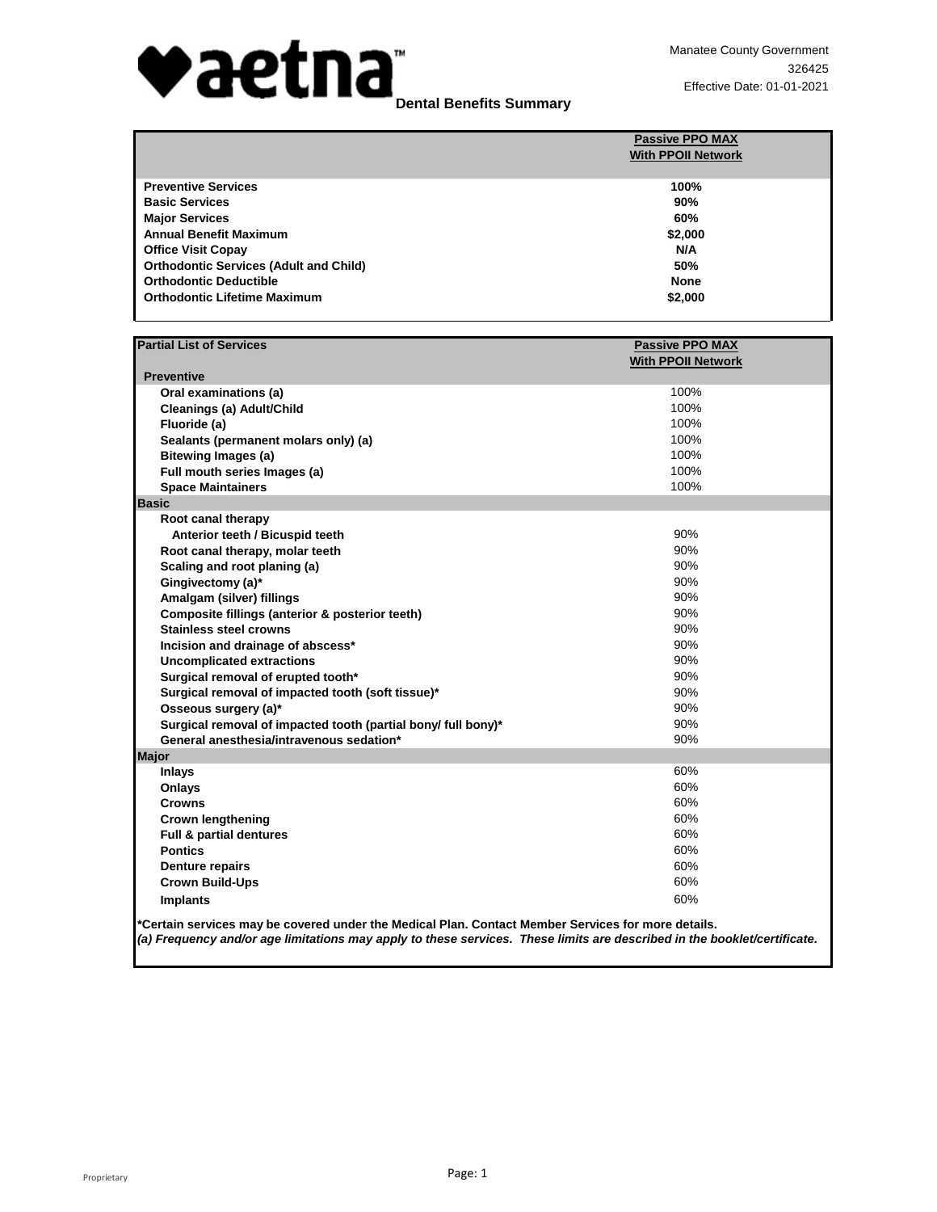

|                                               | <b>Passive PPO MAX</b><br><b>With PPOII Network</b> |
|-----------------------------------------------|-----------------------------------------------------|
|                                               |                                                     |
| <b>Preventive Services</b>                    | 100%                                                |
| <b>Basic Services</b>                         | 90%                                                 |
| <b>Major Services</b>                         | 60%                                                 |
| <b>Annual Benefit Maximum</b>                 | \$2,000                                             |
| <b>Office Visit Copay</b>                     | N/A                                                 |
| <b>Orthodontic Services (Adult and Child)</b> | 50%                                                 |
| <b>Orthodontic Deductible</b>                 | <b>None</b>                                         |
| <b>Orthodontic Lifetime Maximum</b>           | \$2,000                                             |
|                                               |                                                     |

| <b>Partial List of Services</b>                                                                    | <b>Passive PPO MAX</b>    |
|----------------------------------------------------------------------------------------------------|---------------------------|
|                                                                                                    | <b>With PPOII Network</b> |
| <b>Preventive</b>                                                                                  |                           |
| Oral examinations (a)                                                                              | 100%                      |
| Cleanings (a) Adult/Child                                                                          | 100%                      |
| Fluoride (a)                                                                                       | 100%                      |
| Sealants (permanent molars only) (a)                                                               | 100%                      |
| <b>Bitewing Images (a)</b>                                                                         | 100%                      |
| Full mouth series Images (a)                                                                       | 100%                      |
| <b>Space Maintainers</b>                                                                           | 100%                      |
| <b>Basic</b>                                                                                       |                           |
| Root canal therapy                                                                                 |                           |
| Anterior teeth / Bicuspid teeth                                                                    | 90%                       |
| Root canal therapy, molar teeth                                                                    | 90%                       |
| Scaling and root planing (a)                                                                       | 90%                       |
| Gingivectomy (a)*                                                                                  | 90%                       |
| Amalgam (silver) fillings                                                                          | 90%                       |
| Composite fillings (anterior & posterior teeth)                                                    | 90%                       |
| <b>Stainless steel crowns</b>                                                                      | 90%                       |
| Incision and drainage of abscess*                                                                  | 90%                       |
| <b>Uncomplicated extractions</b>                                                                   | 90%                       |
| Surgical removal of erupted tooth*                                                                 | 90%                       |
| Surgical removal of impacted tooth (soft tissue)*                                                  | 90%                       |
| Osseous surgery (a)*                                                                               | 90%                       |
| Surgical removal of impacted tooth (partial bony/ full bony)*                                      | 90%                       |
| General anesthesia/intravenous sedation*                                                           | 90%                       |
| Major                                                                                              |                           |
| <b>Inlays</b>                                                                                      | 60%                       |
| Onlays                                                                                             | 60%                       |
| <b>Crowns</b>                                                                                      | 60%                       |
| <b>Crown lengthening</b>                                                                           | 60%                       |
| Full & partial dentures                                                                            | 60%                       |
| <b>Pontics</b>                                                                                     | 60%                       |
| <b>Denture repairs</b>                                                                             | 60%                       |
| <b>Crown Build-Ups</b>                                                                             | 60%                       |
| <b>Implants</b>                                                                                    | 60%                       |
| *Certain services may be covered under the Medical Plan. Contact Member Services for more details. |                           |

*(a) Frequency and/or age limitations may apply to these services. These limits are described in the booklet/certificate.*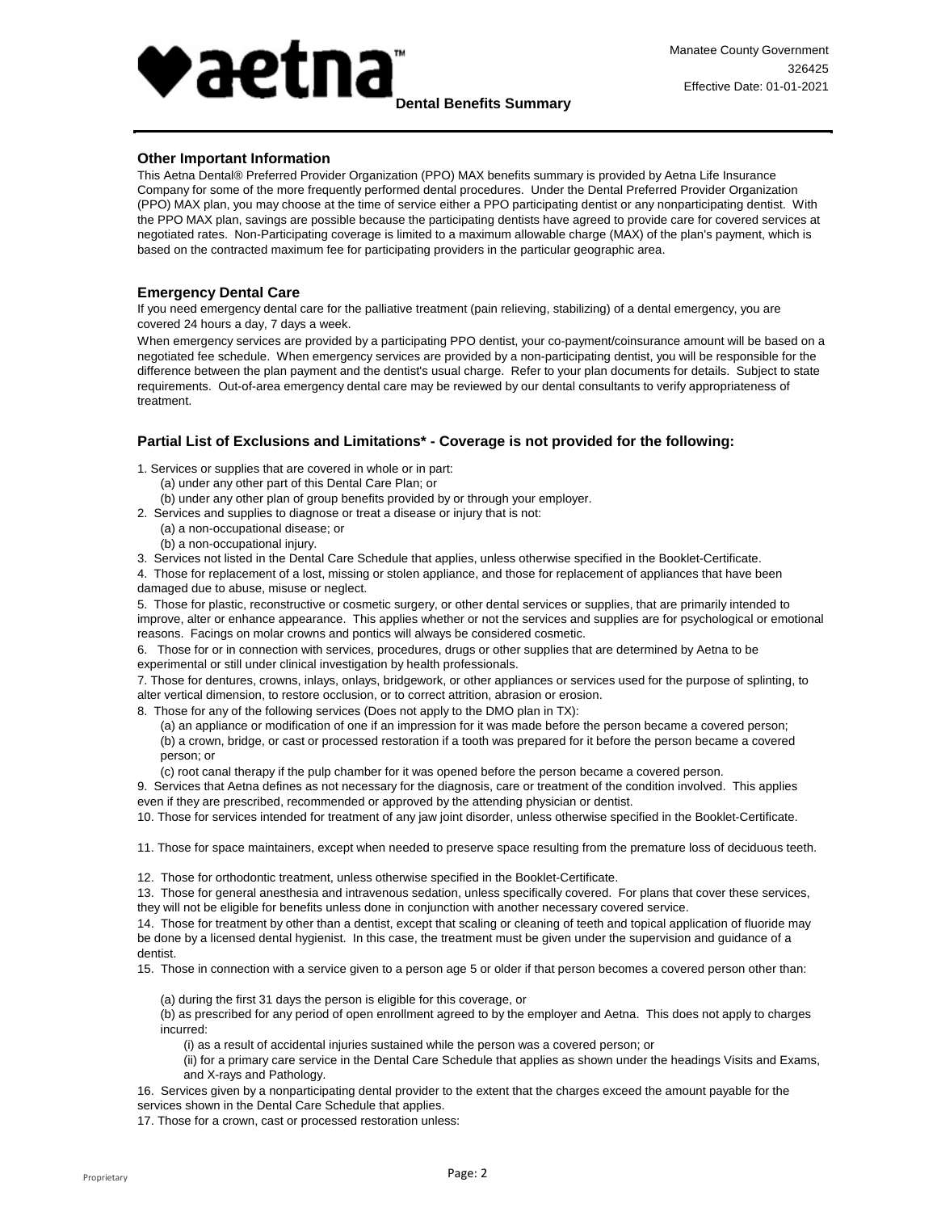

## **Other Important Information**

This Aetna Dental® Preferred Provider Organization (PPO) MAX benefits summary is provided by Aetna Life Insurance Company for some of the more frequently performed dental procedures. Under the Dental Preferred Provider Organization (PPO) MAX plan, you may choose at the time of service either a PPO participating dentist or any nonparticipating dentist. With the PPO MAX plan, savings are possible because the participating dentists have agreed to provide care for covered services at negotiated rates. Non-Participating coverage is limited to a maximum allowable charge (MAX) of the plan's payment, which is based on the contracted maximum fee for participating providers in the particular geographic area.

## **Emergency Dental Care**

If you need emergency dental care for the palliative treatment (pain relieving, stabilizing) of a dental emergency, you are covered 24 hours a day, 7 days a week.

When emergency services are provided by a participating PPO dentist, your co-payment/coinsurance amount will be based on a negotiated fee schedule. When emergency services are provided by a non-participating dentist, you will be responsible for the difference between the plan payment and the dentist's usual charge. Refer to your plan documents for details. Subject to state requirements. Out-of-area emergency dental care may be reviewed by our dental consultants to verify appropriateness of treatment.

## **Partial List of Exclusions and Limitations\* - Coverage is not provided for the following:**

1. Services or supplies that are covered in whole or in part:

- (a) under any other part of this Dental Care Plan; or
- (b) under any other plan of group benefits provided by or through your employer.
- 2. Services and supplies to diagnose or treat a disease or injury that is not:
	- (a) a non-occupational disease; or
	- (b) a non-occupational injury.

3. Services not listed in the Dental Care Schedule that applies, unless otherwise specified in the Booklet-Certificate.

4. Those for replacement of a lost, missing or stolen appliance, and those for replacement of appliances that have been damaged due to abuse, misuse or neglect.

5. Those for plastic, reconstructive or cosmetic surgery, or other dental services or supplies, that are primarily intended to improve, alter or enhance appearance. This applies whether or not the services and supplies are for psychological or emotional reasons. Facings on molar crowns and pontics will always be considered cosmetic.

6. Those for or in connection with services, procedures, drugs or other supplies that are determined by Aetna to be experimental or still under clinical investigation by health professionals.

7. Those for dentures, crowns, inlays, onlays, bridgework, or other appliances or services used for the purpose of splinting, to alter vertical dimension, to restore occlusion, or to correct attrition, abrasion or erosion.

8. Those for any of the following services (Does not apply to the DMO plan in TX):

(a) an appliance or modification of one if an impression for it was made before the person became a covered person; (b) a crown, bridge, or cast or processed restoration if a tooth was prepared for it before the person became a covered person; or

(c) root canal therapy if the pulp chamber for it was opened before the person became a covered person.

9. Services that Aetna defines as not necessary for the diagnosis, care or treatment of the condition involved. This applies even if they are prescribed, recommended or approved by the attending physician or dentist.

10. Those for services intended for treatment of any jaw joint disorder, unless otherwise specified in the Booklet-Certificate.

11. Those for space maintainers, except when needed to preserve space resulting from the premature loss of deciduous teeth.

12. Those for orthodontic treatment, unless otherwise specified in the Booklet-Certificate.

13. Those for general anesthesia and intravenous sedation, unless specifically covered. For plans that cover these services, they will not be eligible for benefits unless done in conjunction with another necessary covered service.

14. Those for treatment by other than a dentist, except that scaling or cleaning of teeth and topical application of fluoride may be done by a licensed dental hygienist. In this case, the treatment must be given under the supervision and guidance of a dentist.

15. Those in connection with a service given to a person age 5 or older if that person becomes a covered person other than:

(a) during the first 31 days the person is eligible for this coverage, or

(b) as prescribed for any period of open enrollment agreed to by the employer and Aetna. This does not apply to charges incurred:

(i) as a result of accidental injuries sustained while the person was a covered person; or

(ii) for a primary care service in the Dental Care Schedule that applies as shown under the headings Visits and Exams, and X-rays and Pathology.

16. Services given by a nonparticipating dental provider to the extent that the charges exceed the amount payable for the services shown in the Dental Care Schedule that applies.

17. Those for a crown, cast or processed restoration unless: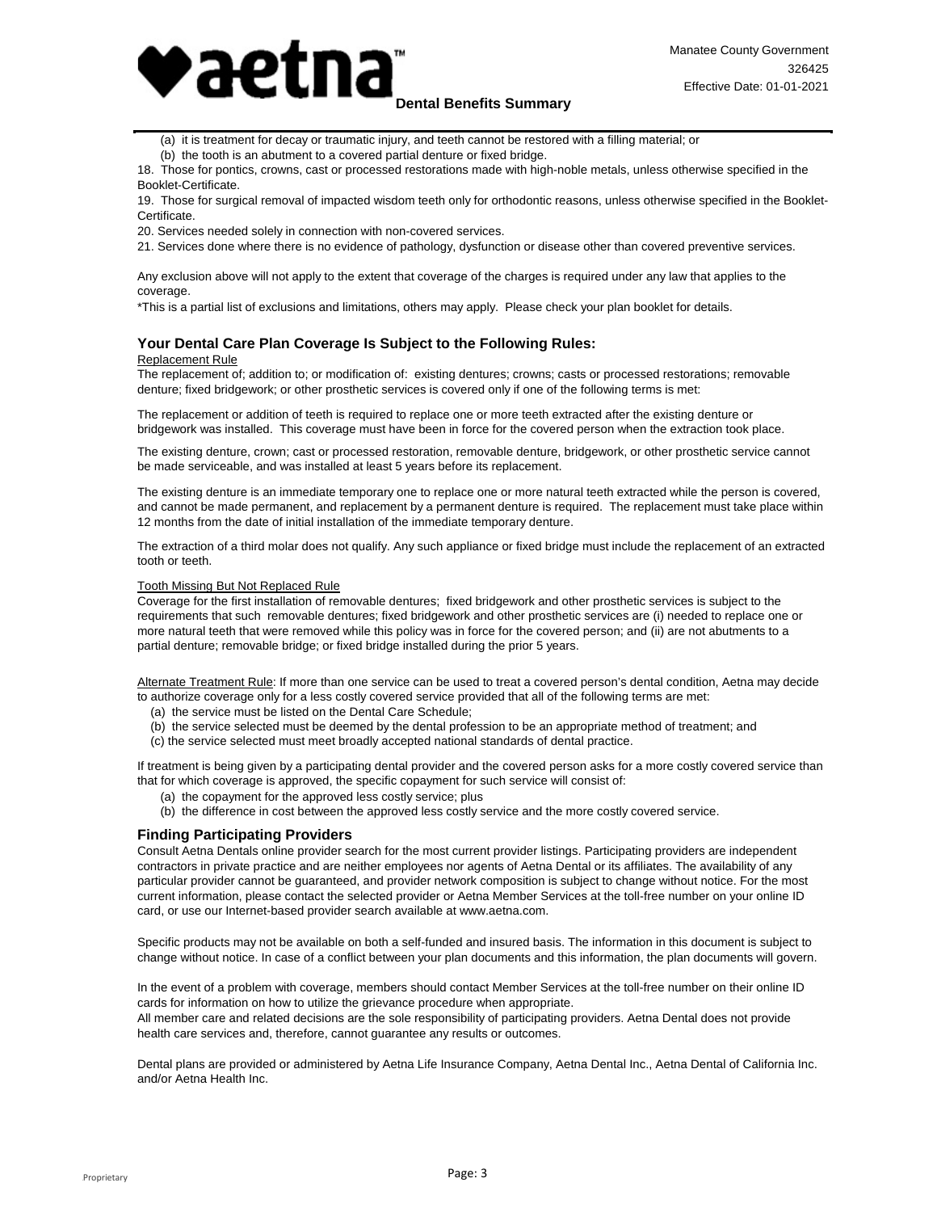

 (a) it is treatment for decay or traumatic injury, and teeth cannot be restored with a filling material; or

(b) the tooth is an abutment to a covered partial denture or fixed bridge.

18. Those for pontics, crowns, cast or processed restorations made with high-noble metals, unless otherwise specified in the Booklet-Certificate.

19. Those for surgical removal of impacted wisdom teeth only for orthodontic reasons, unless otherwise specified in the Booklet-Certificate.

20. Services needed solely in connection with non-covered services.

21. Services done where there is no evidence of pathology, dysfunction or disease other than covered preventive services.

Any exclusion above will not apply to the extent that coverage of the charges is required under any law that applies to the coverage.

\*This is a partial list of exclusions and limitations, others may apply. Please check your plan booklet for details.

## **Your Dental Care Plan Coverage Is Subject to the Following Rules:**

#### Replacement Rule

The replacement of; addition to; or modification of: existing dentures; crowns; casts or processed restorations; removable denture; fixed bridgework; or other prosthetic services is covered only if one of the following terms is met:

The replacement or addition of teeth is required to replace one or more teeth extracted after the existing denture or bridgework was installed. This coverage must have been in force for the covered person when the extraction took place.

The existing denture, crown; cast or processed restoration, removable denture, bridgework, or other prosthetic service cannot be made serviceable, and was installed at least 5 years before its replacement.

The existing denture is an immediate temporary one to replace one or more natural teeth extracted while the person is covered, and cannot be made permanent, and replacement by a permanent denture is required. The replacement must take place within 12 months from the date of initial installation of the immediate temporary denture.

The extraction of a third molar does not qualify. Any such appliance or fixed bridge must include the replacement of an extracted tooth or teeth.

### Tooth Missing But Not Replaced Rule

Coverage for the first installation of removable dentures; fixed bridgework and other prosthetic services is subject to the requirements that such removable dentures; fixed bridgework and other prosthetic services are (i) needed to replace one or more natural teeth that were removed while this policy was in force for the covered person; and (ii) are not abutments to a partial denture; removable bridge; or fixed bridge installed during the prior 5 years.

Alternate Treatment Rule: If more than one service can be used to treat a covered person's dental condition, Aetna may decide to authorize coverage only for a less costly covered service provided that all of the following terms are met:

- (a) the service must be listed on the Dental Care Schedule;
- (b) the service selected must be deemed by the dental profession to be an appropriate method of treatment; and
- (c) the service selected must meet broadly accepted national standards of dental practice.

If treatment is being given by a participating dental provider and the covered person asks for a more costly covered service than that for which coverage is approved, the specific copayment for such service will consist of:

- (a) the copayment for the approved less costly service; plus
- (b) the difference in cost between the approved less costly service and the more costly covered service.

## **Finding Participating Providers**

Consult Aetna Dentals online provider search for the most current provider listings. Participating providers are independent contractors in private practice and are neither employees nor agents of Aetna Dental or its affiliates. The availability of any particular provider cannot be guaranteed, and provider network composition is subject to change without notice. For the most current information, please contact the selected provider or Aetna Member Services at the toll-free number on your online ID card, or use our Internet-based provider search available at www.aetna.com.

Specific products may not be available on both a self-funded and insured basis. The information in this document is subject to change without notice. In case of a conflict between your plan documents and this information, the plan documents will govern.

In the event of a problem with coverage, members should contact Member Services at the toll-free number on their online ID cards for information on how to utilize the grievance procedure when appropriate.

All member care and related decisions are the sole responsibility of participating providers. Aetna Dental does not provide health care services and, therefore, cannot guarantee any results or outcomes.

Dental plans are provided or administered by Aetna Life Insurance Company, Aetna Dental Inc., Aetna Dental of California Inc. and/or Aetna Health Inc.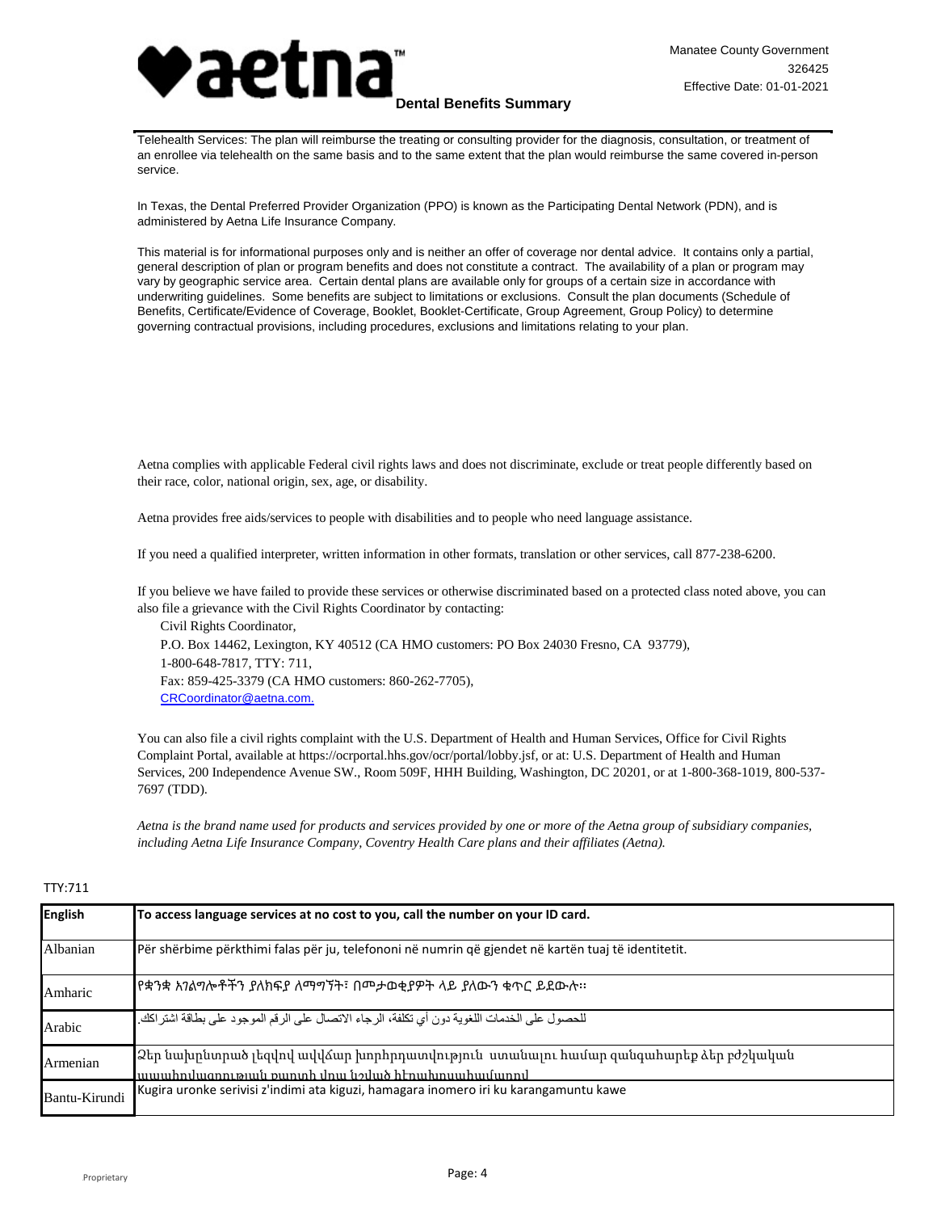

# **Dental Benefits Summary**

 Telehealth Services: The plan will reimburse the treating or consulting provider for the diagnosis, consultation, or treatment of an enrollee via telehealth on the same basis and to the same extent that the plan would reimburse the same covered in-person service.

In Texas, the Dental Preferred Provider Organization (PPO) is known as the Participating Dental Network (PDN), and is administered by Aetna Life Insurance Company.

This material is for informational purposes only and is neither an offer of coverage nor dental advice. It contains only a partial, general description of plan or program benefits and does not constitute a contract. The availability of a plan or program may vary by geographic service area. Certain dental plans are available only for groups of a certain size in accordance with underwriting guidelines. Some benefits are subject to limitations or exclusions. Consult the plan documents (Schedule of Benefits, Certificate/Evidence of Coverage, Booklet, Booklet-Certificate, Group Agreement, Group Policy) to determine governing contractual provisions, including procedures, exclusions and limitations relating to your plan.

Aetna complies with applicable Federal civil rights laws and does not discriminate, exclude or treat people differently based on their race, color, national origin, sex, age, or disability.

Aetna provides free aids/services to people with disabilities and to people who need language assistance.

If you need a qualified interpreter, written information in other formats, translation or other services, call 877-238-6200.

If you believe we have failed to provide these services or otherwise discriminated based on a protected class noted above, you can also file a grievance with the Civil Rights Coordinator by contacting:

Civil Rights Coordinator, P.O. Box 14462, Lexington, KY 40512 (CA HMO customers: PO Box 24030 Fresno, CA 93779), 1-800-648-7817, TTY: 711, Fax: 859-425-3379 (CA HMO customers: 860-262-7705), [CRCoordinator@aetna.com.](mailto:CRCoordinator@aetna.com.)

You can also file a civil rights complaint with the U.S. Department of Health and Human Services, Office for Civil Rights Complaint Portal, available at https://ocrportal.hhs.gov/ocr/portal/lobby.jsf, or at: U.S. Department of Health and Human Services, 200 Independence Avenue SW., Room 509F, HHH Building, Washington, DC 20201, or at 1-800-368-1019, 800-537- 7697 (TDD).

*Aetna is the brand name used for products and services provided by one or more of the Aetna group of subsidiary companies, including Aetna Life Insurance Company, Coventry Health Care plans and their affiliates (Aetna).*

## TTY:711

| <b>English</b> | To access language services at no cost to you, call the number on your ID card.                                                        |
|----------------|----------------------------------------------------------------------------------------------------------------------------------------|
| Albanian       | Për shërbime përkthimi falas për ju, telefononi në numrin që gjendet në kartën tuaj të identitetit.                                    |
| Amharic        | የቋንቋ አንልግሎቶችን ያለክፍያ ለማግኘት፣ በመታወቂያዎት ላይ ያለውን ቁጥር ይደውሉ፡፡                                                                                 |
| Arabic         | للحصول على الخدمات اللغوية دون أي تكلفة، الرجاء الاتصال على الرقم الموجود على بطاقة اشتراكك.                                           |
| Armenian       | 2եր նախընտրած լեզվով ավվձար խորհրդատվություն ստանալու համար զանգահարեք ձեր բժշկական<br>աաահովազոության քաոտի վոա նշված հէոախոսահամարով |
| Bantu-Kirundi  | Kugira uronke serivisi z'indimi ata kiguzi, hamagara inomero iri ku karangamuntu kawe                                                  |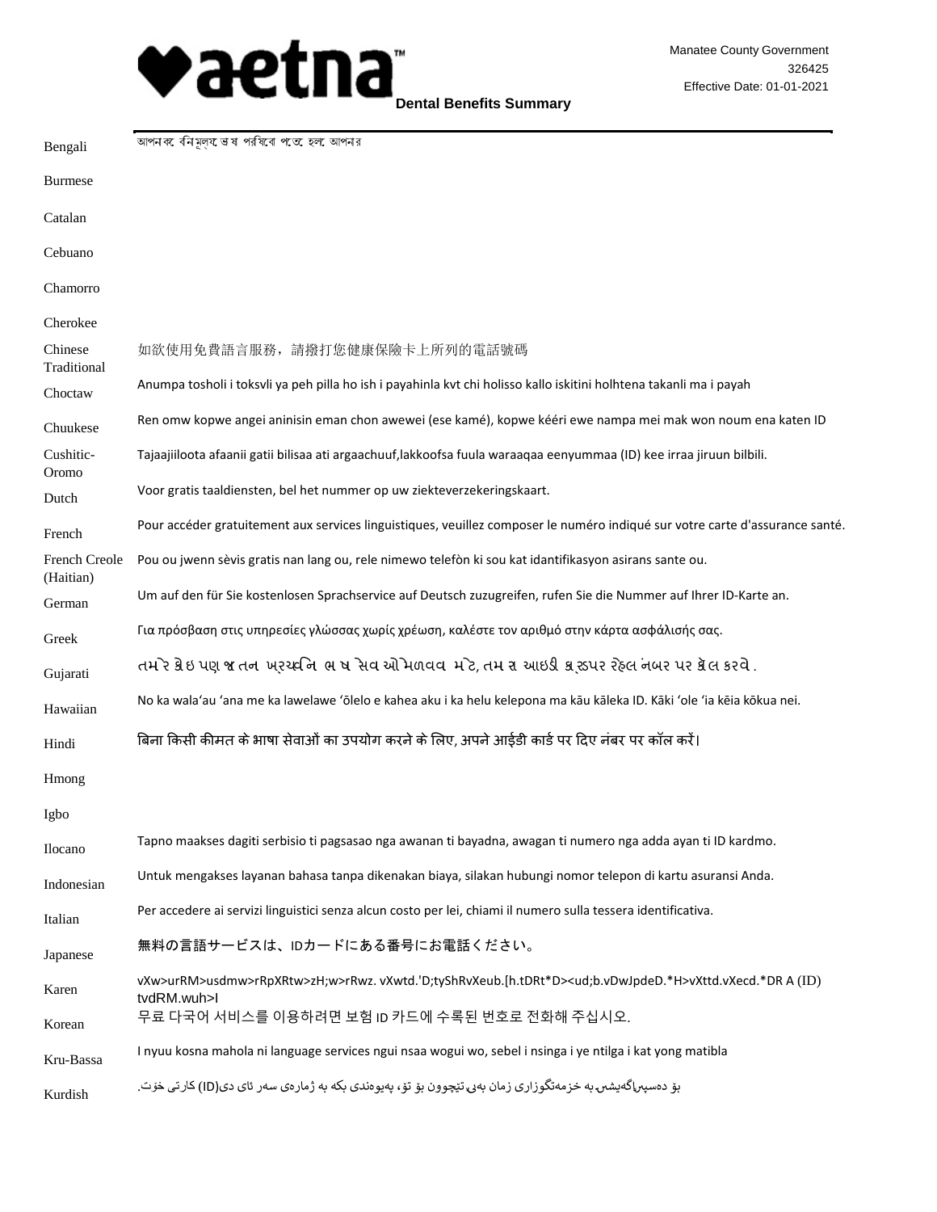

**Dental Benefits Summary**

| Bengali                           | আপনক বনিমূলয় ভাষ পরষিবে পতে হল আপনর                                                                                                         |
|-----------------------------------|----------------------------------------------------------------------------------------------------------------------------------------------|
| <b>Burmese</b>                    |                                                                                                                                              |
| Catalan                           |                                                                                                                                              |
| Cebuano                           |                                                                                                                                              |
| Chamorro                          |                                                                                                                                              |
| Cherokee                          |                                                                                                                                              |
| Chinese<br>Traditional            | 如欲使用免費語言服務,請撥打您健康保險卡上所列的電話號碼                                                                                                                 |
| Choctaw                           | Anumpa tosholi i toksvli ya peh pilla ho ish i payahinla kvt chi holisso kallo iskitini holhtena takanli ma i payah                          |
| Chuukese                          | Ren omw kopwe angei aninisin eman chon awewei (ese kamé), kopwe kééri ewe nampa mei mak won noum ena katen ID                                |
| Cushitic-<br>Oromo                | Tajaajiiloota afaanii gatii bilisaa ati argaachuuf,lakkoofsa fuula waraaqaa eenyummaa (ID) kee irraa jiruun bilbili.                         |
| Dutch                             | Voor gratis taaldiensten, bel het nummer op uw ziekteverzekeringskaart.                                                                      |
| French                            | Pour accéder gratuitement aux services linguistiques, veuillez composer le numéro indiqué sur votre carte d'assurance santé.                 |
| <b>French Creole</b><br>(Haitian) | Pou ou jwenn sèvis gratis nan lang ou, rele nimewo telefòn ki sou kat idantifikasyon asirans sante ou.                                       |
| German                            | Um auf den für Sie kostenlosen Sprachservice auf Deutsch zuzugreifen, rufen Sie die Nummer auf Ihrer ID-Karte an.                            |
| Greek                             | Για πρόσβαση στις υπηρεσίες γλώσσας χωρίς χρέωση, καλέστε τον αριθμό στην κάρτα ασφάλισής σας.                                               |
| Gujarati                          | તમ ેર ક્રેઇ પણ જ તન ખરચ્છનિ ભ ષ સેવ એો મળવવ મ ેટ, તમ રા આઇડી ક્રાન્ડપર રેહ્લ નબર પર ક્રેલ કરવે .                                             |
| Hawaiian                          | No ka wala'au 'ana me ka lawelawe 'ōlelo e kahea aku i ka helu kelepona ma kāu kāleka ID. Kāki 'ole 'ia kēia kōkua nei.                      |
| Hindi                             | बिना किसी कीमत के भाषा सेवाओं का उपयोग करने के लिए, अपने आईडी कार्ड पर दिए नंबर पर कॉल करें।                                                 |
| Hmong                             |                                                                                                                                              |
| Igbo                              |                                                                                                                                              |
| Ilocano                           | Tapno maakses dagiti serbisio ti pagsasao nga awanan ti bayadna, awagan ti numero nga adda ayan ti ID kardmo.                                |
| Indonesian                        | Untuk mengakses layanan bahasa tanpa dikenakan biaya, silakan hubungi nomor telepon di kartu asuransi Anda.                                  |
| Italian                           | Per accedere ai servizi linguistici senza alcun costo per lei, chiami il numero sulla tessera identificativa.                                |
| Japanese                          | 無料の言語サービスは、IDカードにある番号にお電話ください。                                                                                                               |
| Karen                             | vXw>urRM>usdmw>rRpXRtw>zH;w>rRwz.vXwtd.'D;tyShRvXeub.[h.tDRt*D> <ud;b.vdwjpded.*h>vXttd.vXecd.*DRA(ID)<br/>tvdRM.wuh&gt;l</ud;b.vdwjpded.*h> |
| Korean                            | 무료 다국어 서비스를 이용하려면 보험 ID 카드에 수록된 번호로 전화해 주십시오.                                                                                                |
| Kru-Bassa                         | I nyuu kosna mahola ni language services ngui nsaa wogui wo, sebel i nsinga i ye ntilga i kat yong matibla                                   |
| Kurdish                           | بۆ دەسبىراگەيشىن بە خزمەتگوزارى زمان بەي تێچوون بۆ تۆ ، بەيوەندى بكە بە ژمارەي سەر ئاي دى(ID) كارتى خۆت.                                     |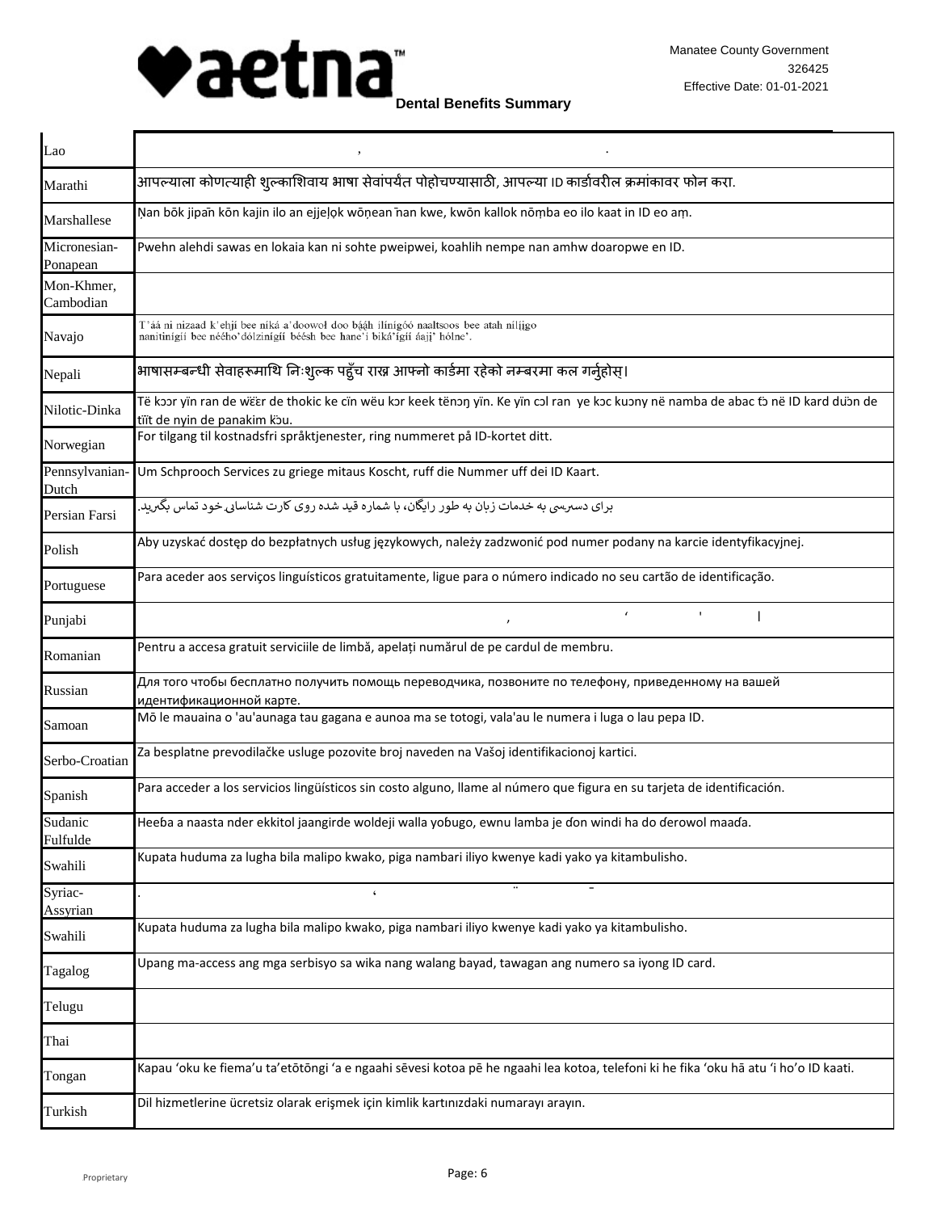

| Lao                      |                                                                                                                                                                      |
|--------------------------|----------------------------------------------------------------------------------------------------------------------------------------------------------------------|
| Marathi                  | आपल्याला कोणत्याही शुल्काशिवाय भाषा सेवांपर्यंत पोहोचण्यासाठी, आपल्या ।D कार्डावरील क्रमांकावर फोन करा.                                                              |
| Marshallese              | Nan bōk jipan kōn kajin ilo an ejjeļok wōņean nan kwe, kwōn kallok nōṃba eo ilo kaat in ID eo aṃ.                                                                    |
| Micronesian-<br>Ponapean | Pwehn alehdi sawas en lokaia kan ni sohte pweipwei, koahlih nempe nan amhw doaropwe en ID.                                                                           |
| Mon-Khmer,               |                                                                                                                                                                      |
| Cambodian                |                                                                                                                                                                      |
| Navajo                   | T'áá ni nizaad k'ehjí bee níká a'doowoł doo bááh ílínígóó naaltsoos bee atah nílíjgo<br>nanitinígíí bee néého'dólzinígíí béésh bee hane'í biká'ígíí áaji' hólne'.    |
| Nepali                   | भाषासम्बन्धी सेवाहरूमाथि निःशुल्क पहुँच राख्न आफ्नो कार्डमा रहेको नम्बरमा कल गर्नुहोस्।                                                                              |
| Nilotic-Dinka            | Të kɔɔr yïn ran de wëɛr de thokic ke cïn wëu kɔr keek tënɔŋ yïn. Ke yïn cɔl ran  ye kɔc kuɔny në namba de abac tɔ në ID kard duɔn de<br>tiït de nyin de panakim kou. |
| Norwegian                | For tilgang til kostnadsfri språktjenester, ring nummeret på ID-kortet ditt.                                                                                         |
| Pennsylvanian-<br>Dutch  | Um Schprooch Services zu griege mitaus Koscht, ruff die Nummer uff dei ID Kaart.                                                                                     |
| Persian Farsi            | برای دسبرسی به خدمات زبان به طور رایگان، با شماره قید شده روی کارت شناسایی خود تماس بگیرید.                                                                          |
| Polish                   | Aby uzyskać dostęp do bezpłatnych usług językowych, należy zadzwonić pod numer podany na karcie identyfikacyjnej.                                                    |
| Portuguese               | Para aceder aos serviços linguísticos gratuitamente, ligue para o número indicado no seu cartão de identificação.                                                    |
| Punjabi                  |                                                                                                                                                                      |
| Romanian                 | Pentru a accesa gratuit serviciile de limbă, apelați numărul de pe cardul de membru.                                                                                 |
| Russian                  | Для того чтобы бесплатно получить помощь переводчика, позвоните по телефону, приведенному на вашей<br>идентификационной карте.                                       |
| Samoan                   | Mō le mauaina o 'au'aunaga tau gagana e aunoa ma se totogi, vala'au le numera i luga o lau pepa ID.                                                                  |
| Serbo-Croatian           | Za besplatne prevodilačke usluge pozovite broj naveden na Vašoj identifikacionoj kartici.                                                                            |
| Spanish                  | Para acceder a los servicios lingüísticos sin costo alguno, llame al número que figura en su tarjeta de identificación.                                              |
| Sudanic<br>Fulfulde      | Heeɓa a naasta nder ekkitol jaangirde woldeji walla yoɓugo, ewnu lamba je ɗon windi ha do ɗerowol maaɗa.                                                             |
| Swahili                  | Kupata huduma za lugha bila malipo kwako, piga nambari iliyo kwenye kadi yako ya kitambulisho.                                                                       |
| Syriac-<br>Assyrian      | $\pmb{\zeta}$                                                                                                                                                        |
| Swahili                  | Kupata huduma za lugha bila malipo kwako, piga nambari iliyo kwenye kadi yako ya kitambulisho.                                                                       |
| Tagalog                  | Upang ma-access ang mga serbisyo sa wika nang walang bayad, tawagan ang numero sa iyong ID card.                                                                     |
| Telugu                   |                                                                                                                                                                      |
| Thai                     |                                                                                                                                                                      |
| Tongan                   | Kapau 'oku ke fiema'u ta'etōtōngi 'a e ngaahi sēvesi kotoa pē he ngaahi lea kotoa, telefoni ki he fika 'oku hā atu 'i ho'o ID kaati.                                 |
| Turkish                  | Dil hizmetlerine ücretsiz olarak erişmek için kimlik kartınızdaki numarayı arayın.                                                                                   |